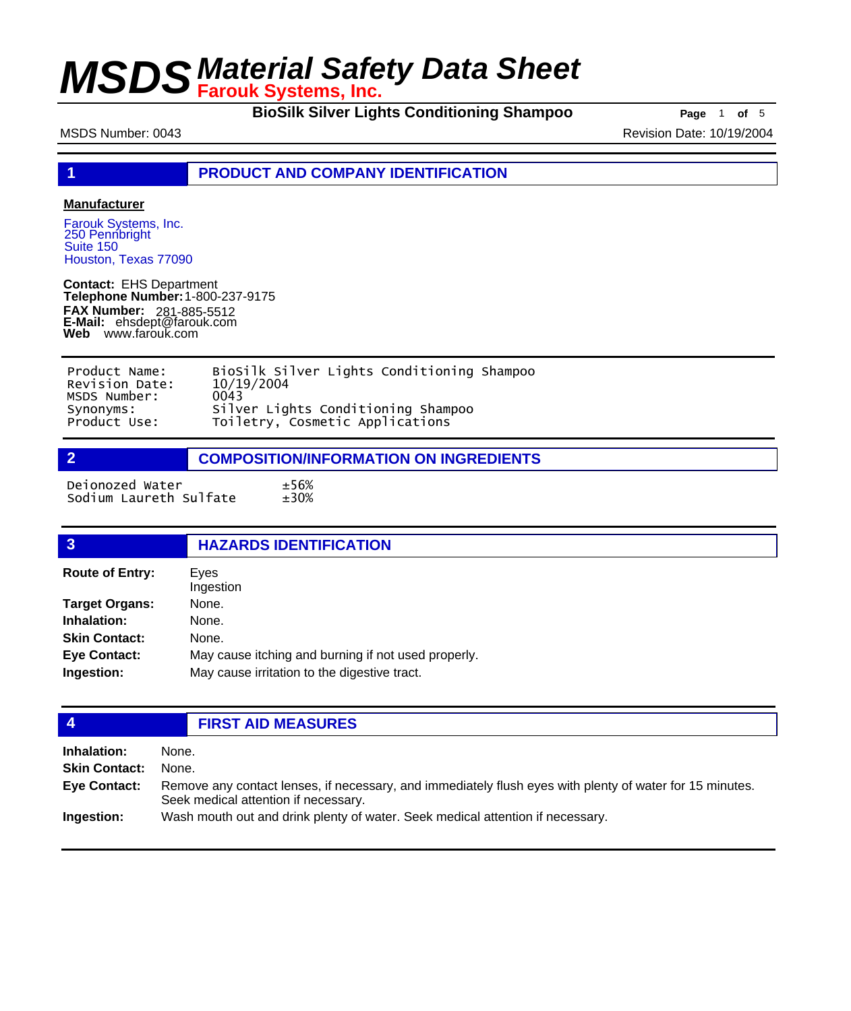**BioSilk Silver Lights Conditioning Shampoo Page** 1 of 5

MSDS Number: 0043 **Revision Date: 10/19/2004** Revision Date: 10/19/2004

**1 PRODUCT AND COMPANY IDENTIFICATION**

### **Manufacturer**

Farouk Systems, Inc. 250 Pennbright Suite 150 Houston, Texas 77090

**Contact:** EHS Department **Telephone Number:** 1-800-237-9175 **FAX Number: FAX Number:** 281-885-5512<br>**E-Mail:** ehsdept@farouk.com **Web** www.farouk.com

| Product Name:  | BioSilk Silver Lights Conditioning Shampoo |
|----------------|--------------------------------------------|
| Revision Date: | 10/19/2004                                 |
| MSDS Number:   | 0043                                       |
| Synonyms:      | Silver Lights Conditioning Shampoo         |
| Product Use:   | Toiletry, Cosmetic Applications            |

**2 COMPOSITION/INFORMATION ON INGREDIENTS**

Deionozed Water ±56% Sodium Laureth Sulfate

| $\overline{3}$         | <b>HAZARDS IDENTIFICATION</b>                       |  |
|------------------------|-----------------------------------------------------|--|
| <b>Route of Entry:</b> | Eves<br>Ingestion                                   |  |
| <b>Target Organs:</b>  | None.                                               |  |
| Inhalation:            | None.                                               |  |
| <b>Skin Contact:</b>   | None.                                               |  |
| <b>Eye Contact:</b>    | May cause itching and burning if not used properly. |  |
| Ingestion:             | May cause irritation to the digestive tract.        |  |

## **4 FIRST AID MEASURES**

| Inhalation:          | None.                                                                                                                                            |
|----------------------|--------------------------------------------------------------------------------------------------------------------------------------------------|
| <b>Skin Contact:</b> | None.                                                                                                                                            |
| <b>Eye Contact:</b>  | Remove any contact lenses, if necessary, and immediately flush eyes with plenty of water for 15 minutes.<br>Seek medical attention if necessary. |
| Ingestion:           | Wash mouth out and drink plenty of water. Seek medical attention if necessary.                                                                   |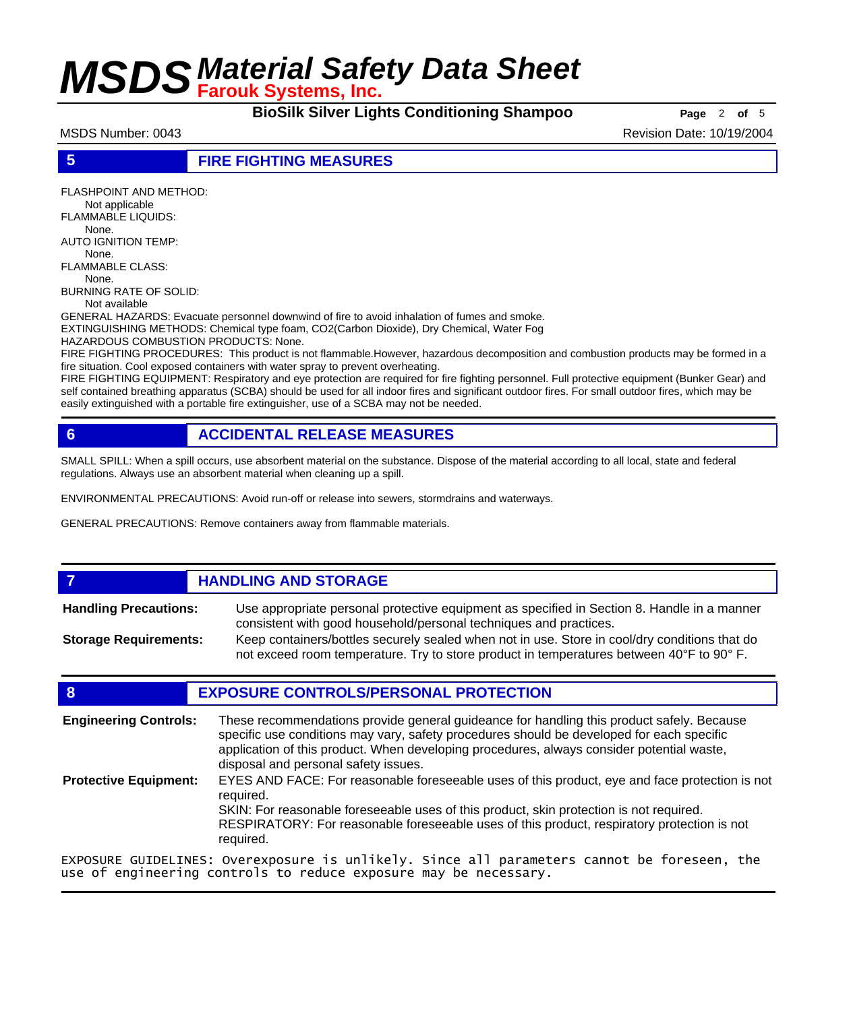**BioSilk Silver Lights Conditioning Shampoo** Page 2 of 5

MSDS Number: 0043 Revision Date: 10/19/2004

**5 FIRE FIGHTING MEASURES**

FLASHPOINT AND METHOD: Not applicable FLAMMABLE LIQUIDS: None. AUTO IGNITION TEMP: None. FLAMMABLE CLASS: None. BURNING RATE OF SOLID: Not available GENERAL HAZARDS: Evacuate personnel downwind of fire to avoid inhalation of fumes and smoke. EXTINGUISHING METHODS: Chemical type foam, CO2(Carbon Dioxide), Dry Chemical, Water Fog HAZARDOUS COMBUSTION PRODUCTS: None. FIRE FIGHTING PROCEDURES: This product is not flammable.However, hazardous decomposition and combustion products may be formed in a

FIRE FIGHTING EQUIPMENT: Respiratory and eye protection are required for fire fighting personnel. Full protective equipment (Bunker Gear) and self contained breathing apparatus (SCBA) should be used for all indoor fires and significant outdoor fires. For small outdoor fires, which may be easily extinguished with a portable fire extinguisher, use of a SCBA may not be needed.

## **6 ACCIDENTAL RELEASE MEASURES**

SMALL SPILL: When a spill occurs, use absorbent material on the substance. Dispose of the material according to all local, state and federal regulations. Always use an absorbent material when cleaning up a spill.

ENVIRONMENTAL PRECAUTIONS: Avoid run-off or release into sewers, stormdrains and waterways.

GENERAL PRECAUTIONS: Remove containers away from flammable materials.

## *HANDLING AND STORAGE*

Use appropriate personal protective equipment as specified in Section 8. Handle in a manner consistent with good household/personal techniques and practices. **Handling Precautions:** Keep containers/bottles securely sealed when not in use. Store in cool/dry conditions that do **Storage Requirements:**

not exceed room temperature. Try to store product in temperatures between 40°F to 90° F.

### **8 EXPOSURE CONTROLS/PERSONAL PROTECTION**

These recommendations provide general guideance for handling this product safely. Because specific use conditions may vary, safety procedures should be developed for each specific application of this product. When developing procedures, always consider potential waste, disposal and personal safety issues. **Engineering Controls:** EYES AND FACE: For reasonable foreseeable uses of this product, eye and face protection is not required. SKIN: For reasonable foreseeable uses of this product, skin protection is not required. RESPIRATORY: For reasonable foreseeable uses of this product, respiratory protection is not required. **Protective Equipment:** EXPOSURE GUIDELINES: Overexposure is unlikely. Since all parameters cannot be foreseen, the

use of engineering controls to reduce exposure may be necessary.

fire situation. Cool exposed containers with water spray to prevent overheating.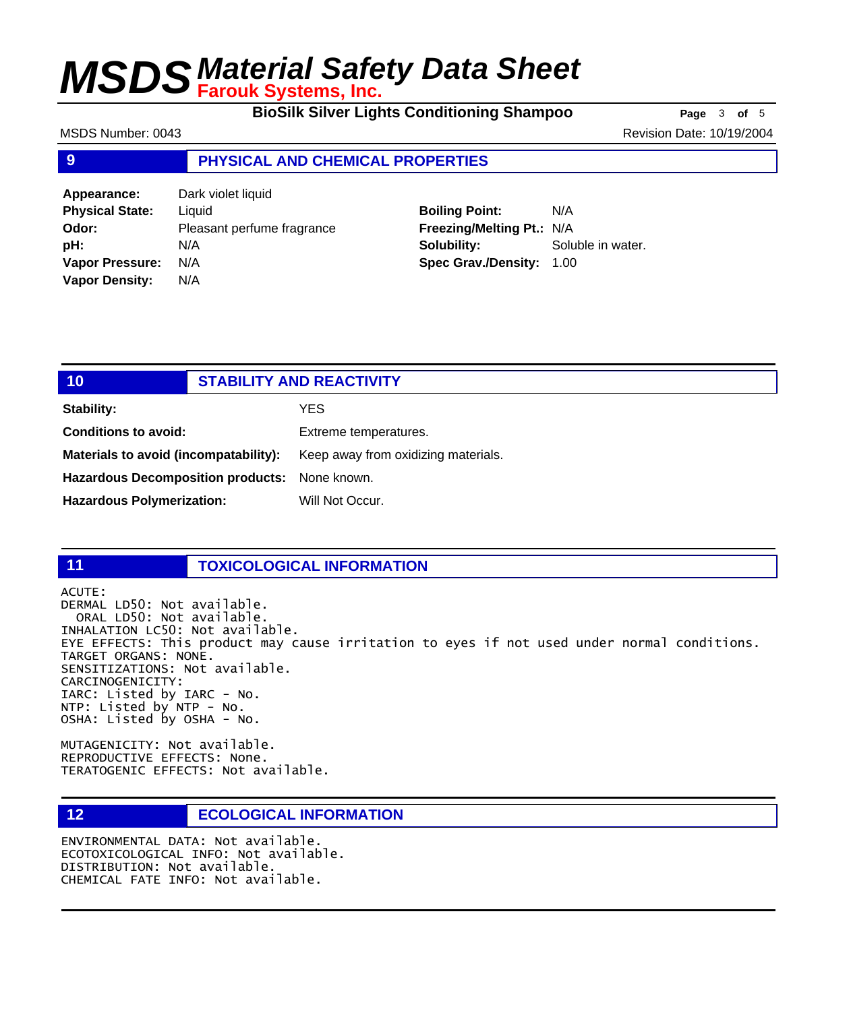**BioSilk Silver Lights Conditioning Shampoo Page** 3 of 5

MSDS Number: 0043 **Revision Date: 10/19/2004** Revision Date: 10/19/2004

### **9 PHYSICAL AND CHEMICAL PROPERTIES**

**Appearance:** Dark violet liquid **Physical State:** Liquid **Odor:** Pleasant perfume fragrance **pH:** N/A **Vapor Pressure:** N/A **Vapor Density:** N/A

## **Boiling Point:** N/A **Freezing/Melting Pt.:** N/A **Solubility:** Soluble in water. **Spec Grav./Density:** 1.00

| 10                                            | <b>STABILITY AND REACTIVITY</b>     |
|-----------------------------------------------|-------------------------------------|
| <b>Stability:</b>                             | YES.                                |
| <b>Conditions to avoid:</b>                   | Extreme temperatures.               |
| Materials to avoid (incompatability):         | Keep away from oxidizing materials. |
| Hazardous Decomposition products: None known. |                                     |
| <b>Hazardous Polymerization:</b>              | Will Not Occur.                     |

### **11 TOXICOLOGICAL INFORMATION**

ACUTE: DERMAL LD50: Not available. ORAL LD50: Not available. INHALATION LC50: Not available. EYE EFFECTS: This product may cause irritation to eyes if not used under normal conditions. TARGET ORGANS: NONE. SENSITIZATIONS: Not available. CARCINOGENICITY: IARC: Listed by IARC - No. NTP: Listed by NTP - No. OSHA: Listed by OSHA - No.

MUTAGENICITY: Not available. REPRODUCTIVE EFFECTS: None. TERATOGENIC EFFECTS: Not available.

## **12 ECOLOGICAL INFORMATION**

ENVIRONMENTAL DATA: Not available. ECOTOXICOLOGICAL INFO: Not available. DISTRIBUTION: Not available. CHEMICAL FATE INFO: Not available.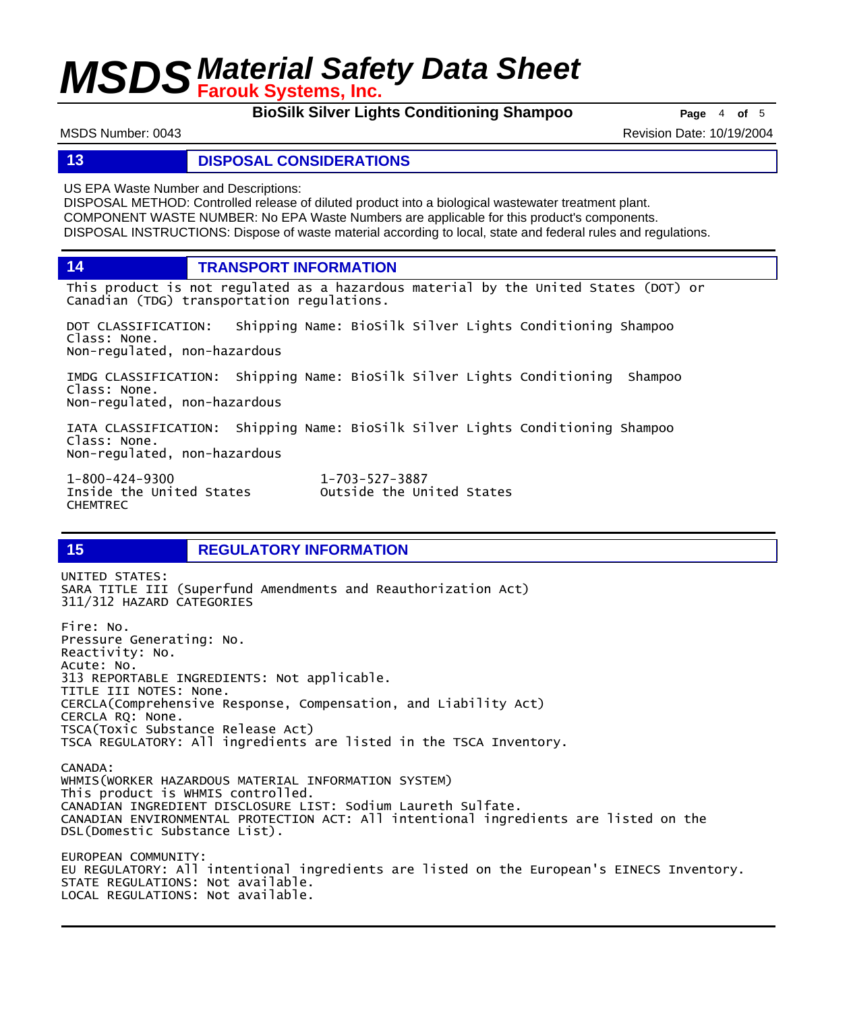**BioSilk Silver Lights Conditioning Shampoo Page** 4 of 5

MSDS Number: 0043 Revision Date: 10/19/2004

### **13 DISPOSAL CONSIDERATIONS**

US EPA Waste Number and Descriptions:

DISPOSAL METHOD: Controlled release of diluted product into a biological wastewater treatment plant. COMPONENT WASTE NUMBER: No EPA Waste Numbers are applicable for this product's components. DISPOSAL INSTRUCTIONS: Dispose of waste material according to local, state and federal rules and regulations.

**14 TRANSPORT INFORMATION**

This product is not regulated as a hazardous material by the United States (DOT) or Canadian (TDG) transportation regulations.

DOT CLASSIFICATION: Shipping Name: BioSilk Silver Lights Conditioning Shampoo Class: None. Non-regulated, non-hazardous

IMDG CLASSIFICATION: Shipping Name: BioSilk Silver Lights Conditioning Shampoo Class: None. Non-regulated, non-hazardous

IATA CLASSIFICATION: Shipping Name: BioSilk Silver Lights Conditioning Shampoo Class: None. Non-regulated, non-hazardous

1-800-424-9300 1-703-527-3887 CHEMTREC

Outside the United States

## **15 REGULATORY INFORMATION**

UNITED STATES: SARA TITLE III (Superfund Amendments and Reauthorization Act) 311/312 HAZARD CATEGORIES Fire: No. Pressure Generating: No. Reactivity: No. Acute: No. 313 REPORTABLE INGREDIENTS: Not applicable. TITLE III NOTES: None. CERCLA(Comprehensive Response, Compensation, and Liability Act) CERCLA RQ: None. TSCA(Toxic Substance Release Act) TSCA REGULATORY: All ingredients are listed in the TSCA Inventory. CANADA: WHMIS(WORKER HAZARDOUS MATERIAL INFORMATION SYSTEM) This product is WHMIS controlled. CANADIAN INGREDIENT DISCLOSURE LIST: Sodium Laureth Sulfate. CANADIAN ENVIRONMENTAL PROTECTION ACT: All intentional ingredients are listed on the DSL(Domestic Substance List). EUROPEAN COMMUNITY: EU REGULATORY: All intentional ingredients are listed on the European's EINECS Inventory. STATE REGULATIONS: Not available. LOCAL REGULATIONS: Not available.